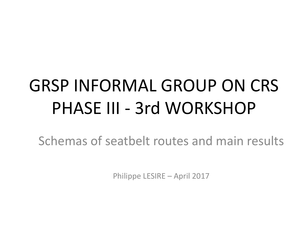# GRSP INFORMAL GROUP ON CRS PHASE III - 3rd WORKSHOP

Schemas of seatbelt routes and main results

Philippe LESIRE – April 2017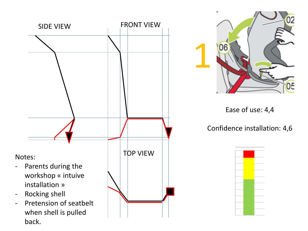



Ease of use: 4,4

Confidence installation: 4,6

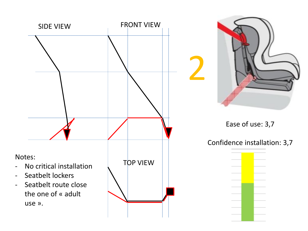



Ease of use: 3,7

#### Confidence installation: 3,7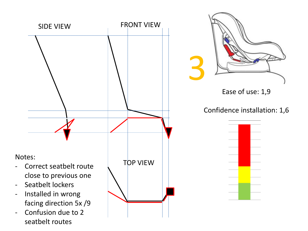

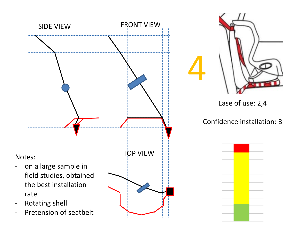

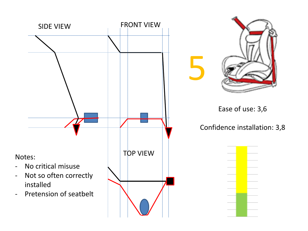



### Ease of use: 3,6

5

Confidence installation: 3,8

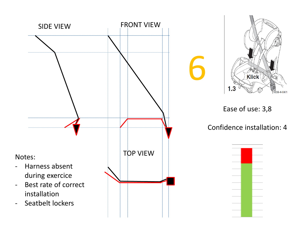



#### Ease of use: 3,8

Confidence installation: 4

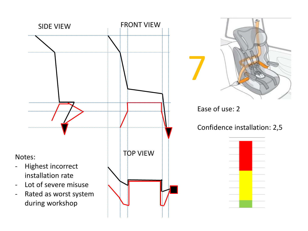